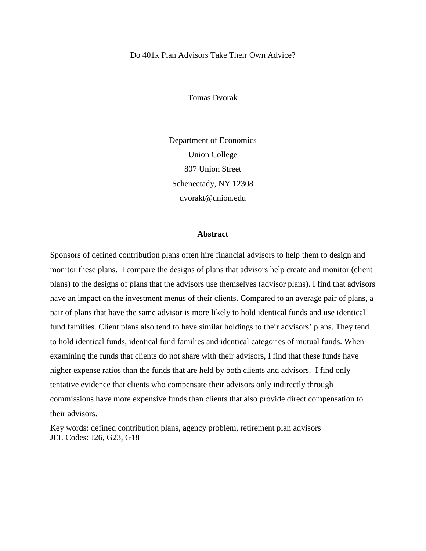Do 401k Plan Advisors Take Their Own Advice?

Tomas Dvorak

Department of Economics Union College 807 Union Street Schenectady, NY 12308 dvorakt@union.edu

#### **Abstract**

Sponsors of defined contribution plans often hire financial advisors to help them to design and monitor these plans. I compare the designs of plans that advisors help create and monitor (client plans) to the designs of plans that the advisors use themselves (advisor plans). I find that advisors have an impact on the investment menus of their clients. Compared to an average pair of plans, a pair of plans that have the same advisor is more likely to hold identical funds and use identical fund families. Client plans also tend to have similar holdings to their advisors' plans. They tend to hold identical funds, identical fund families and identical categories of mutual funds. When examining the funds that clients do not share with their advisors, I find that these funds have higher expense ratios than the funds that are held by both clients and advisors. I find only tentative evidence that clients who compensate their advisors only indirectly through commissions have more expensive funds than clients that also provide direct compensation to their advisors.

Key words: defined contribution plans, agency problem, retirement plan advisors JEL Codes: J26, G23, G18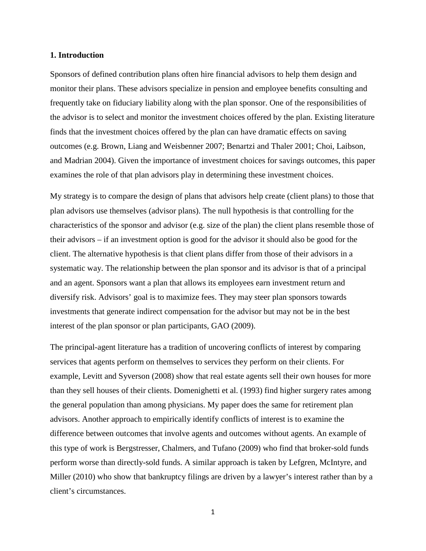#### **1. Introduction**

Sponsors of defined contribution plans often hire financial advisors to help them design and monitor their plans. These advisors specialize in pension and employee benefits consulting and frequently take on fiduciary liability along with the plan sponsor. One of the responsibilities of the advisor is to select and monitor the investment choices offered by the plan. Existing literature finds that the investment choices offered by the plan can have dramatic effects on saving outcomes (e.g. Brown, Liang and Weisbenner 2007; Benartzi and Thaler 2001; Choi, Laibson, and Madrian 2004). Given the importance of investment choices for savings outcomes, this paper examines the role of that plan advisors play in determining these investment choices.

My strategy is to compare the design of plans that advisors help create (client plans) to those that plan advisors use themselves (advisor plans). The null hypothesis is that controlling for the characteristics of the sponsor and advisor (e.g. size of the plan) the client plans resemble those of their advisors – if an investment option is good for the advisor it should also be good for the client. The alternative hypothesis is that client plans differ from those of their advisors in a systematic way. The relationship between the plan sponsor and its advisor is that of a principal and an agent. Sponsors want a plan that allows its employees earn investment return and diversify risk. Advisors' goal is to maximize fees. They may steer plan sponsors towards investments that generate indirect compensation for the advisor but may not be in the best interest of the plan sponsor or plan participants, GAO (2009).

The principal-agent literature has a tradition of uncovering conflicts of interest by comparing services that agents perform on themselves to services they perform on their clients. For example, Levitt and Syverson (2008) show that real estate agents sell their own houses for more than they sell houses of their clients. Domenighetti et al. (1993) find higher surgery rates among the general population than among physicians. My paper does the same for retirement plan advisors. Another approach to empirically identify conflicts of interest is to examine the difference between outcomes that involve agents and outcomes without agents. An example of this type of work is Bergstresser, Chalmers, and Tufano (2009) who find that broker-sold funds perform worse than directly-sold funds. A similar approach is taken by Lefgren, McIntyre, and Miller (2010) who show that bankruptcy filings are driven by a lawyer's interest rather than by a client's circumstances.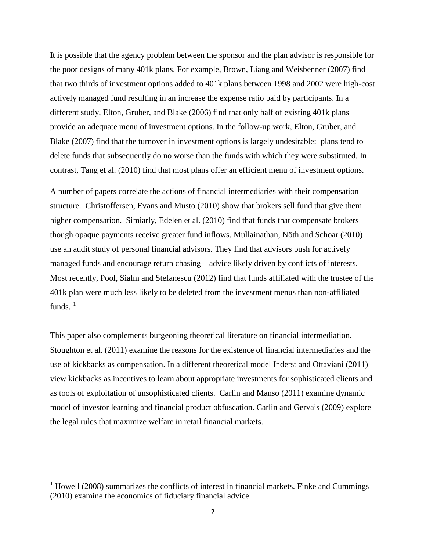It is possible that the agency problem between the sponsor and the plan advisor is responsible for the poor designs of many 401k plans. For example, Brown, Liang and Weisbenner (2007) find that two thirds of investment options added to 401k plans between 1998 and 2002 were high-cost actively managed fund resulting in an increase the expense ratio paid by participants. In a different study, Elton, Gruber, and Blake (2006) find that only half of existing 401k plans provide an adequate menu of investment options. In the follow-up work, Elton, Gruber, and Blake (2007) find that the turnover in investment options is largely undesirable: plans tend to delete funds that subsequently do no worse than the funds with which they were substituted. In contrast, Tang et al. (2010) find that most plans offer an efficient menu of investment options.

A number of papers correlate the actions of financial intermediaries with their compensation structure. Christoffersen, Evans and Musto (2010) show that brokers sell fund that give them higher compensation. Simiarly, Edelen et al. (2010) find that funds that compensate brokers though opaque payments receive greater fund inflows. Mullainathan, Nöth and Schoar (2010) use an audit study of personal financial advisors. They find that advisors push for actively managed funds and encourage return chasing – advice likely driven by conflicts of interests. Most recently, Pool, Sialm and Stefanescu (2012) find that funds affiliated with the trustee of the 401k plan were much less likely to be deleted from the investment menus than non-affiliated funds.  $1$ 

This paper also complements burgeoning theoretical literature on financial intermediation. Stoughton et al. (2011) examine the reasons for the existence of financial intermediaries and the use of kickbacks as compensation. In a different theoretical model Inderst and Ottaviani (2011) view kickbacks as incentives to learn about appropriate investments for sophisticated clients and as tools of exploitation of unsophisticated clients. Carlin and Manso (2011) examine dynamic model of investor learning and financial product obfuscation. Carlin and Gervais (2009) explore the legal rules that maximize welfare in retail financial markets.

<span id="page-2-0"></span> $1$  Howell (2008) summarizes the conflicts of interest in financial markets. Finke and Cummings (2010) examine the economics of fiduciary financial advice.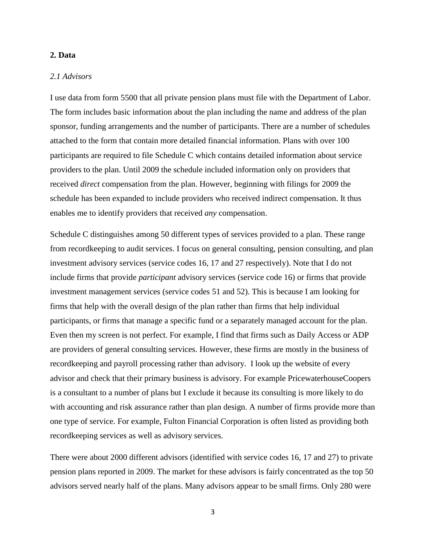#### **2. Data**

# *2.1 Advisors*

I use data from form 5500 that all private pension plans must file with the Department of Labor. The form includes basic information about the plan including the name and address of the plan sponsor, funding arrangements and the number of participants. There are a number of schedules attached to the form that contain more detailed financial information. Plans with over 100 participants are required to file Schedule C which contains detailed information about service providers to the plan. Until 2009 the schedule included information only on providers that received *direct* compensation from the plan. However, beginning with filings for 2009 the schedule has been expanded to include providers who received indirect compensation. It thus enables me to identify providers that received *any* compensation.

Schedule C distinguishes among 50 different types of services provided to a plan. These range from recordkeeping to audit services. I focus on general consulting, pension consulting, and plan investment advisory services (service codes 16, 17 and 27 respectively). Note that I do not include firms that provide *participant* advisory services (service code 16) or firms that provide investment management services (service codes 51 and 52). This is because I am looking for firms that help with the overall design of the plan rather than firms that help individual participants, or firms that manage a specific fund or a separately managed account for the plan. Even then my screen is not perfect. For example, I find that firms such as Daily Access or ADP are providers of general consulting services. However, these firms are mostly in the business of recordkeeping and payroll processing rather than advisory. I look up the website of every advisor and check that their primary business is advisory. For example PricewaterhouseCoopers is a consultant to a number of plans but I exclude it because its consulting is more likely to do with accounting and risk assurance rather than plan design. A number of firms provide more than one type of service. For example, Fulton Financial Corporation is often listed as providing both recordkeeping services as well as advisory services.

There were about 2000 different advisors (identified with service codes 16, 17 and 27) to private pension plans reported in 2009. The market for these advisors is fairly concentrated as the top 50 advisors served nearly half of the plans. Many advisors appear to be small firms. Only 280 were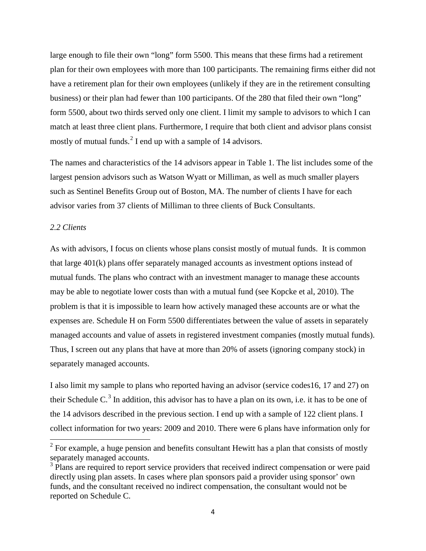large enough to file their own "long" form 5500. This means that these firms had a retirement plan for their own employees with more than 100 participants. The remaining firms either did not have a retirement plan for their own employees (unlikely if they are in the retirement consulting business) or their plan had fewer than 100 participants. Of the 280 that filed their own "long" form 5500, about two thirds served only one client. I limit my sample to advisors to which I can match at least three client plans. Furthermore, I require that both client and advisor plans consist mostly of mutual funds. $2$  I end up with a sample of 14 advisors.

The names and characteristics of the 14 advisors appear in Table 1. The list includes some of the largest pension advisors such as Watson Wyatt or Milliman, as well as much smaller players such as Sentinel Benefits Group out of Boston, MA. The number of clients I have for each advisor varies from 37 clients of Milliman to three clients of Buck Consultants.

# *2.2 Clients*

As with advisors, I focus on clients whose plans consist mostly of mutual funds. It is common that large 401(k) plans offer separately managed accounts as investment options instead of mutual funds. The plans who contract with an investment manager to manage these accounts may be able to negotiate lower costs than with a mutual fund (see Kopcke et al, 2010). The problem is that it is impossible to learn how actively managed these accounts are or what the expenses are. Schedule H on Form 5500 differentiates between the value of assets in separately managed accounts and value of assets in registered investment companies (mostly mutual funds). Thus, I screen out any plans that have at more than 20% of assets (ignoring company stock) in separately managed accounts.

I also limit my sample to plans who reported having an advisor (service codes16, 17 and 27) on their Schedule C.<sup>[3](#page-4-1)</sup> In addition, this advisor has to have a plan on its own, i.e. it has to be one of the 14 advisors described in the previous section. I end up with a sample of 122 client plans. I collect information for two years: 2009 and 2010. There were 6 plans have information only for

<span id="page-4-0"></span> $2^2$  For example, a huge pension and benefits consultant Hewitt has a plan that consists of mostly separately managed accounts.

<span id="page-4-1"></span><sup>&</sup>lt;sup>3</sup> Plans are required to report service providers that received indirect compensation or were paid directly using plan assets. In cases where plan sponsors paid a provider using sponsor' own funds, and the consultant received no indirect compensation, the consultant would not be reported on Schedule C.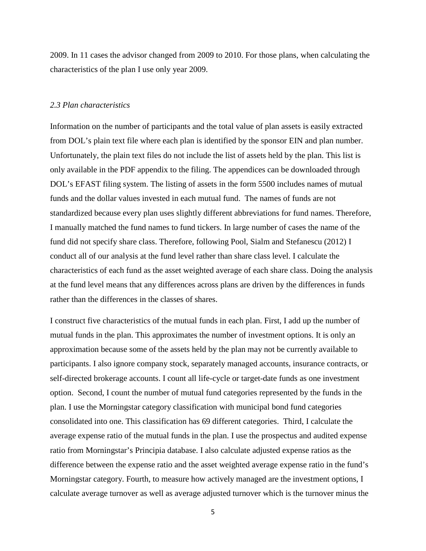2009. In 11 cases the advisor changed from 2009 to 2010. For those plans, when calculating the characteristics of the plan I use only year 2009.

#### *2.3 Plan characteristics*

Information on the number of participants and the total value of plan assets is easily extracted from DOL's plain text file where each plan is identified by the sponsor EIN and plan number. Unfortunately, the plain text files do not include the list of assets held by the plan. This list is only available in the PDF appendix to the filing. The appendices can be downloaded through DOL's EFAST filing system. The listing of assets in the form 5500 includes names of mutual funds and the dollar values invested in each mutual fund. The names of funds are not standardized because every plan uses slightly different abbreviations for fund names. Therefore, I manually matched the fund names to fund tickers. In large number of cases the name of the fund did not specify share class. Therefore, following Pool, Sialm and Stefanescu (2012) I conduct all of our analysis at the fund level rather than share class level. I calculate the characteristics of each fund as the asset weighted average of each share class. Doing the analysis at the fund level means that any differences across plans are driven by the differences in funds rather than the differences in the classes of shares.

I construct five characteristics of the mutual funds in each plan. First, I add up the number of mutual funds in the plan. This approximates the number of investment options. It is only an approximation because some of the assets held by the plan may not be currently available to participants. I also ignore company stock, separately managed accounts, insurance contracts, or self-directed brokerage accounts. I count all life-cycle or target-date funds as one investment option. Second, I count the number of mutual fund categories represented by the funds in the plan. I use the Morningstar category classification with municipal bond fund categories consolidated into one. This classification has 69 different categories. Third, I calculate the average expense ratio of the mutual funds in the plan. I use the prospectus and audited expense ratio from Morningstar's Principia database. I also calculate adjusted expense ratios as the difference between the expense ratio and the asset weighted average expense ratio in the fund's Morningstar category. Fourth, to measure how actively managed are the investment options, I calculate average turnover as well as average adjusted turnover which is the turnover minus the

<sup>5</sup>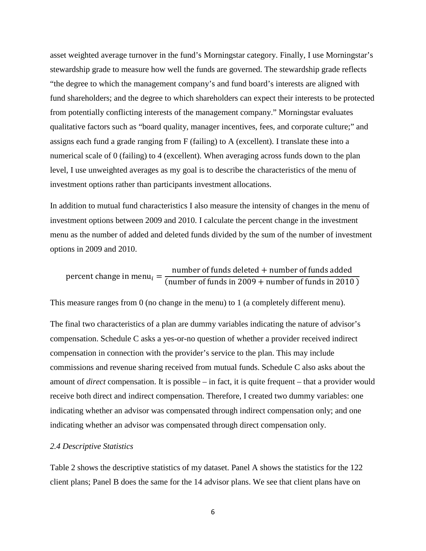asset weighted average turnover in the fund's Morningstar category. Finally, I use Morningstar's stewardship grade to measure how well the funds are governed. The stewardship grade reflects "the degree to which the management company's and fund board's interests are aligned with fund shareholders; and the degree to which shareholders can expect their interests to be protected from potentially conflicting interests of the management company." Morningstar evaluates qualitative factors such as "board quality, manager incentives, fees, and corporate culture;" and assigns each fund a grade ranging from F (failing) to A (excellent). I translate these into a numerical scale of 0 (failing) to 4 (excellent). When averaging across funds down to the plan level, I use unweighted averages as my goal is to describe the characteristics of the menu of investment options rather than participants investment allocations.

In addition to mutual fund characteristics I also measure the intensity of changes in the menu of investment options between 2009 and 2010. I calculate the percent change in the investment menu as the number of added and deleted funds divided by the sum of the number of investment options in 2009 and 2010.

percent change in menu<sub>i</sub>  $=$   $\frac{\text{number of funds deleted} + \text{number of funds added}}{\text{(number of funds in 2009 + \text{number of funds in 2010)}}$ 

This measure ranges from 0 (no change in the menu) to 1 (a completely different menu).

The final two characteristics of a plan are dummy variables indicating the nature of advisor's compensation. Schedule C asks a yes-or-no question of whether a provider received indirect compensation in connection with the provider's service to the plan. This may include commissions and revenue sharing received from mutual funds. Schedule C also asks about the amount of *direct* compensation. It is possible – in fact, it is quite frequent – that a provider would receive both direct and indirect compensation. Therefore, I created two dummy variables: one indicating whether an advisor was compensated through indirect compensation only; and one indicating whether an advisor was compensated through direct compensation only.

#### *2.4 Descriptive Statistics*

Table 2 shows the descriptive statistics of my dataset. Panel A shows the statistics for the 122 client plans; Panel B does the same for the 14 advisor plans. We see that client plans have on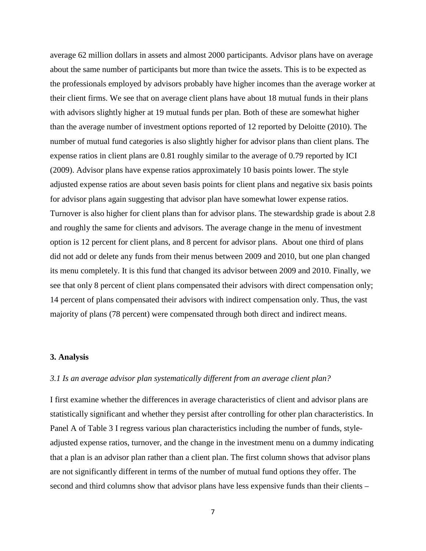average 62 million dollars in assets and almost 2000 participants. Advisor plans have on average about the same number of participants but more than twice the assets. This is to be expected as the professionals employed by advisors probably have higher incomes than the average worker at their client firms. We see that on average client plans have about 18 mutual funds in their plans with advisors slightly higher at 19 mutual funds per plan. Both of these are somewhat higher than the average number of investment options reported of 12 reported by Deloitte (2010). The number of mutual fund categories is also slightly higher for advisor plans than client plans. The expense ratios in client plans are 0.81 roughly similar to the average of 0.79 reported by ICI (2009). Advisor plans have expense ratios approximately 10 basis points lower. The style adjusted expense ratios are about seven basis points for client plans and negative six basis points for advisor plans again suggesting that advisor plan have somewhat lower expense ratios. Turnover is also higher for client plans than for advisor plans. The stewardship grade is about 2.8 and roughly the same for clients and advisors. The average change in the menu of investment option is 12 percent for client plans, and 8 percent for advisor plans. About one third of plans did not add or delete any funds from their menus between 2009 and 2010, but one plan changed its menu completely. It is this fund that changed its advisor between 2009 and 2010. Finally, we see that only 8 percent of client plans compensated their advisors with direct compensation only; 14 percent of plans compensated their advisors with indirect compensation only. Thus, the vast majority of plans (78 percent) were compensated through both direct and indirect means.

#### **3. Analysis**

#### *3.1 Is an average advisor plan systematically different from an average client plan?*

I first examine whether the differences in average characteristics of client and advisor plans are statistically significant and whether they persist after controlling for other plan characteristics. In Panel A of Table 3 I regress various plan characteristics including the number of funds, styleadjusted expense ratios, turnover, and the change in the investment menu on a dummy indicating that a plan is an advisor plan rather than a client plan. The first column shows that advisor plans are not significantly different in terms of the number of mutual fund options they offer. The second and third columns show that advisor plans have less expensive funds than their clients –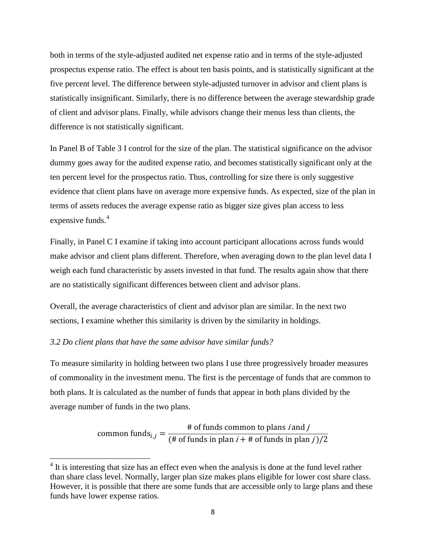both in terms of the style-adjusted audited net expense ratio and in terms of the style-adjusted prospectus expense ratio. The effect is about ten basis points, and is statistically significant at the five percent level. The difference between style-adjusted turnover in advisor and client plans is statistically insignificant. Similarly, there is no difference between the average stewardship grade of client and advisor plans. Finally, while advisors change their menus less than clients, the difference is not statistically significant.

In Panel B of Table 3 I control for the size of the plan. The statistical significance on the advisor dummy goes away for the audited expense ratio, and becomes statistically significant only at the ten percent level for the prospectus ratio. Thus, controlling for size there is only suggestive evidence that client plans have on average more expensive funds. As expected, size of the plan in terms of assets reduces the average expense ratio as bigger size gives plan access to less expensive funds.<sup>[4](#page-8-0)</sup>

Finally, in Panel C I examine if taking into account participant allocations across funds would make advisor and client plans different. Therefore, when averaging down to the plan level data I weigh each fund characteristic by assets invested in that fund. The results again show that there are no statistically significant differences between client and advisor plans.

Overall, the average characteristics of client and advisor plan are similar. In the next two sections, I examine whether this similarity is driven by the similarity in holdings.

### *3.2 Do client plans that have the same advisor have similar funds?*

To measure similarity in holding between two plans I use three progressively broader measures of commonality in the investment menu. The first is the percentage of funds that are common to both plans. It is calculated as the number of funds that appear in both plans divided by the average number of funds in the two plans.

common funds<sub>i,j</sub> =  $\frac{\# \text{ of funds common to plans } i \text{ and } j}{(\# \text{ of funds in plan } i + \# \text{ of funds in plan } j)/2}$ 

<span id="page-8-0"></span> $4$  It is interesting that size has an effect even when the analysis is done at the fund level rather than share class level. Normally, larger plan size makes plans eligible for lower cost share class. However, it is possible that there are some funds that are accessible only to large plans and these funds have lower expense ratios.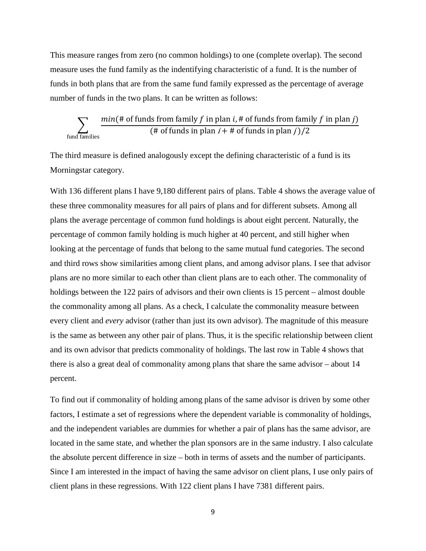This measure ranges from zero (no common holdings) to one (complete overlap). The second measure uses the fund family as the indentifying characteristic of a fund. It is the number of funds in both plans that are from the same fund family expressed as the percentage of average number of funds in the two plans. It can be written as follows:

$$
\sum_{\text{fund families}} \frac{\text{min}(\text{# of funds from family } f \text{ in plan } i, \text{# of funds from family } f \text{ in plan } j)}{(\text{# of funds in plan } i + \text{# of funds in plan } j)/2}
$$

The third measure is defined analogously except the defining characteristic of a fund is its Morningstar category.

With 136 different plans I have 9,180 different pairs of plans. Table 4 shows the average value of these three commonality measures for all pairs of plans and for different subsets. Among all plans the average percentage of common fund holdings is about eight percent. Naturally, the percentage of common family holding is much higher at 40 percent, and still higher when looking at the percentage of funds that belong to the same mutual fund categories. The second and third rows show similarities among client plans, and among advisor plans. I see that advisor plans are no more similar to each other than client plans are to each other. The commonality of holdings between the 122 pairs of advisors and their own clients is 15 percent – almost double the commonality among all plans. As a check, I calculate the commonality measure between every client and *every* advisor (rather than just its own advisor). The magnitude of this measure is the same as between any other pair of plans. Thus, it is the specific relationship between client and its own advisor that predicts commonality of holdings. The last row in Table 4 shows that there is also a great deal of commonality among plans that share the same advisor – about 14 percent.

To find out if commonality of holding among plans of the same advisor is driven by some other factors, I estimate a set of regressions where the dependent variable is commonality of holdings, and the independent variables are dummies for whether a pair of plans has the same advisor, are located in the same state, and whether the plan sponsors are in the same industry. I also calculate the absolute percent difference in size – both in terms of assets and the number of participants. Since I am interested in the impact of having the same advisor on client plans, I use only pairs of client plans in these regressions. With 122 client plans I have 7381 different pairs.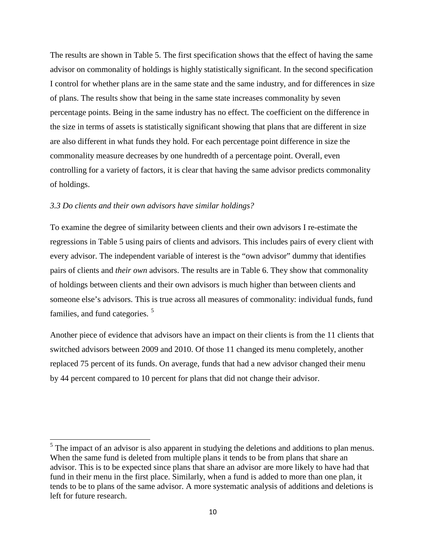The results are shown in Table 5. The first specification shows that the effect of having the same advisor on commonality of holdings is highly statistically significant. In the second specification I control for whether plans are in the same state and the same industry, and for differences in size of plans. The results show that being in the same state increases commonality by seven percentage points. Being in the same industry has no effect. The coefficient on the difference in the size in terms of assets is statistically significant showing that plans that are different in size are also different in what funds they hold. For each percentage point difference in size the commonality measure decreases by one hundredth of a percentage point. Overall, even controlling for a variety of factors, it is clear that having the same advisor predicts commonality of holdings.

#### *3.3 Do clients and their own advisors have similar holdings?*

To examine the degree of similarity between clients and their own advisors I re-estimate the regressions in Table 5 using pairs of clients and advisors. This includes pairs of every client with every advisor. The independent variable of interest is the "own advisor" dummy that identifies pairs of clients and *their own* advisors. The results are in Table 6. They show that commonality of holdings between clients and their own advisors is much higher than between clients and someone else's advisors. This is true across all measures of commonality: individual funds, fund families, and fund categories.<sup>[5](#page-10-0)</sup>

Another piece of evidence that advisors have an impact on their clients is from the 11 clients that switched advisors between 2009 and 2010. Of those 11 changed its menu completely, another replaced 75 percent of its funds. On average, funds that had a new advisor changed their menu by 44 percent compared to 10 percent for plans that did not change their advisor.

<span id="page-10-0"></span> $<sup>5</sup>$  The impact of an advisor is also apparent in studying the deletions and additions to plan menus.</sup> When the same fund is deleted from multiple plans it tends to be from plans that share an advisor. This is to be expected since plans that share an advisor are more likely to have had that fund in their menu in the first place. Similarly, when a fund is added to more than one plan, it tends to be to plans of the same advisor. A more systematic analysis of additions and deletions is left for future research.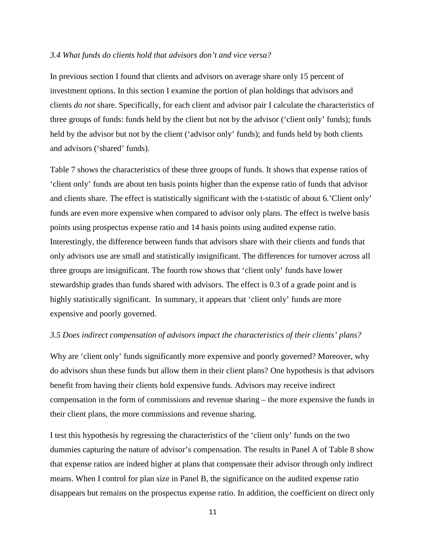#### *3.4 What funds do clients hold that advisors don't and vice versa?*

In previous section I found that clients and advisors on average share only 15 percent of investment options. In this section I examine the portion of plan holdings that advisors and clients *do not* share. Specifically, for each client and advisor pair I calculate the characteristics of three groups of funds: funds held by the client but not by the advisor ('client only' funds); funds held by the advisor but not by the client ('advisor only' funds); and funds held by both clients and advisors ('shared' funds).

Table 7 shows the characteristics of these three groups of funds. It shows that expense ratios of 'client only' funds are about ten basis points higher than the expense ratio of funds that advisor and clients share. The effect is statistically significant with the t-statistic of about 6.'Client only' funds are even more expensive when compared to advisor only plans. The effect is twelve basis points using prospectus expense ratio and 14 basis points using audited expense ratio. Interestingly, the difference between funds that advisors share with their clients and funds that only advisors use are small and statistically insignificant. The differences for turnover across all three groups are insignificant. The fourth row shows that 'client only' funds have lower stewardship grades than funds shared with advisors. The effect is 0.3 of a grade point and is highly statistically significant. In summary, it appears that 'client only' funds are more expensive and poorly governed.

#### *3.5 Does indirect compensation of advisors impact the characteristics of their clients' plans?*

Why are 'client only' funds significantly more expensive and poorly governed? Moreover, why do advisors shun these funds but allow them in their client plans? One hypothesis is that advisors benefit from having their clients hold expensive funds. Advisors may receive indirect compensation in the form of commissions and revenue sharing – the more expensive the funds in their client plans, the more commissions and revenue sharing.

I test this hypothesis by regressing the characteristics of the 'client only' funds on the two dummies capturing the nature of advisor's compensation. The results in Panel A of Table 8 show that expense ratios are indeed higher at plans that compensate their advisor through only indirect means. When I control for plan size in Panel B, the significance on the audited expense ratio disappears but remains on the prospectus expense ratio. In addition, the coefficient on direct only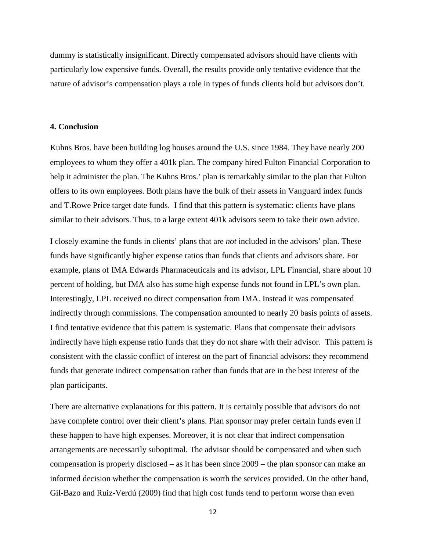dummy is statistically insignificant. Directly compensated advisors should have clients with particularly low expensive funds. Overall, the results provide only tentative evidence that the nature of advisor's compensation plays a role in types of funds clients hold but advisors don't.

#### **4. Conclusion**

Kuhns Bros. have been building log houses around the U.S. since 1984. They have nearly 200 employees to whom they offer a 401k plan. The company hired Fulton Financial Corporation to help it administer the plan. The Kuhns Bros.' plan is remarkably similar to the plan that Fulton offers to its own employees. Both plans have the bulk of their assets in Vanguard index funds and T.Rowe Price target date funds. I find that this pattern is systematic: clients have plans similar to their advisors. Thus, to a large extent 401k advisors seem to take their own advice.

I closely examine the funds in clients' plans that are *not* included in the advisors' plan. These funds have significantly higher expense ratios than funds that clients and advisors share. For example, plans of IMA Edwards Pharmaceuticals and its advisor, LPL Financial, share about 10 percent of holding, but IMA also has some high expense funds not found in LPL's own plan. Interestingly, LPL received no direct compensation from IMA. Instead it was compensated indirectly through commissions. The compensation amounted to nearly 20 basis points of assets. I find tentative evidence that this pattern is systematic. Plans that compensate their advisors indirectly have high expense ratio funds that they do not share with their advisor. This pattern is consistent with the classic conflict of interest on the part of financial advisors: they recommend funds that generate indirect compensation rather than funds that are in the best interest of the plan participants.

There are alternative explanations for this pattern. It is certainly possible that advisors do not have complete control over their client's plans. Plan sponsor may prefer certain funds even if these happen to have high expenses. Moreover, it is not clear that indirect compensation arrangements are necessarily suboptimal. The advisor should be compensated and when such compensation is properly disclosed – as it has been since 2009 – the plan sponsor can make an informed decision whether the compensation is worth the services provided. On the other hand, Gil-Bazo and Ruiz-Verdú (2009) find that high cost funds tend to perform worse than even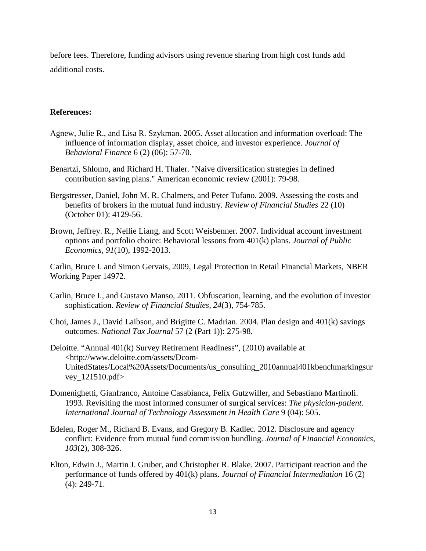before fees. Therefore, funding advisors using revenue sharing from high cost funds add additional costs.

## **References:**

- Agnew, Julie R., and Lisa R. Szykman. 2005. Asset allocation and information overload: The influence of information display, asset choice, and investor experience. *Journal of Behavioral Finance* 6 (2) (06): 57-70.
- Benartzi, Shlomo, and Richard H. Thaler. "Naive diversification strategies in defined contribution saving plans." American economic review (2001): 79-98.
- Bergstresser, Daniel, John M. R. Chalmers, and Peter Tufano. 2009. Assessing the costs and benefits of brokers in the mutual fund industry. *Review of Financial Studies* 22 (10) (October 01): 4129-56.
- Brown, Jeffrey. R., Nellie Liang, and Scott Weisbenner. 2007. Individual account investment options and portfolio choice: Behavioral lessons from 401(k) plans. *Journal of Public Economics, 91*(10), 1992-2013.

Carlin, Bruce I. and Simon Gervais, 2009, Legal Protection in Retail Financial Markets, NBER Working Paper 14972.

- Carlin, Bruce I., and Gustavo Manso, 2011. Obfuscation, learning, and the evolution of investor sophistication. *Review of Financial Studies, 24*(3), 754-785.
- Choi, James J., David Laibson, and Brigitte C. Madrian. 2004. Plan design and 401(k) savings outcomes. *National Tax Journal* 57 (2 (Part 1)): 275-98.
- Deloitte. "Annual 401(k) Survey Retirement Readiness", (2010) available at <http://www.deloitte.com/assets/Dcom-UnitedStates/Local%20Assets/Documents/us\_consulting\_2010annual401kbenchmarkingsur vey\_121510.pdf>
- Domenighetti, Gianfranco, Antoine Casabianca, Felix Gutzwiller, and Sebastiano Martinoli. 1993. Revisiting the most informed consumer of surgical services: *The physician-patient*. *International Journal of Technology Assessment in Health Care* 9 (04): 505.
- Edelen, Roger M., Richard B. Evans, and Gregory B. Kadlec. 2012. Disclosure and agency conflict: Evidence from mutual fund commission bundling. *Journal of Financial Economics, 103*(2), 308-326.
- Elton, Edwin J., Martin J. Gruber, and Christopher R. Blake. 2007. Participant reaction and the performance of funds offered by 401(k) plans. *Journal of Financial Intermediation* 16 (2) (4): 249-71.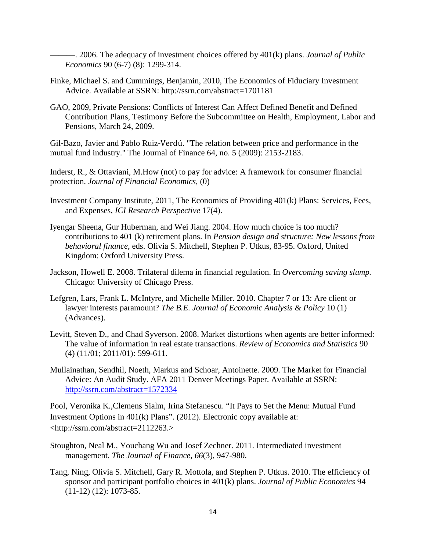———. 2006. The adequacy of investment choices offered by 401(k) plans. *Journal of Public Economics* 90 (6-7) (8): 1299-314.

- Finke, Michael S. and Cummings, Benjamin, 2010, The Economics of Fiduciary Investment Advice. Available at SSRN: http://ssrn.com/abstract=1701181
- GAO, 2009, Private Pensions: Conflicts of Interest Can Affect Defined Benefit and Defined Contribution Plans, Testimony Before the Subcommittee on Health, Employment, Labor and Pensions, March 24, 2009.

Gil‐Bazo, Javier and Pablo Ruiz‐Verdú. "The relation between price and performance in the mutual fund industry." The Journal of Finance 64, no. 5 (2009): 2153-2183.

Inderst, R., & Ottaviani, M.How (not) to pay for advice: A framework for consumer financial protection. *Journal of Financial Economics,* (0)

- Investment Company Institute, 2011, The Economics of Providing 401(k) Plans: Services, Fees, and Expenses, *ICI Research Perspective* 17(4).
- Iyengar Sheena, Gur Huberman, and Wei Jiang. 2004. How much choice is too much? contributions to 401 (k) retirement plans. In *Pension design and structure: New lessons from behavioral finance*, eds. Olivia S. Mitchell, Stephen P. Utkus, 83-95. Oxford, United Kingdom: Oxford University Press.
- Jackson, Howell E. 2008. Trilateral dilema in financial regulation. In *Overcoming saving slump.* Chicago: University of Chicago Press.
- Lefgren, Lars, Frank L. McIntyre, and Michelle Miller. 2010. Chapter 7 or 13: Are client or lawyer interests paramount? *The B.E. Journal of Economic Analysis & Policy* 10 (1) (Advances).
- Levitt, Steven D., and Chad Syverson. 2008. Market distortions when agents are better informed: The value of information in real estate transactions. *Review of Economics and Statistics* 90 (4) (11/01; 2011/01): 599-611.
- Mullainathan, Sendhil, Noeth, Markus and Schoar, Antoinette. 2009. The Market for Financial Advice: An Audit Study. AFA 2011 Denver Meetings Paper. Available at SSRN: <http://ssrn.com/abstract=1572334>

Pool, Veronika K.,Clemens Sialm, Irina Stefanescu. "It Pays to Set the Menu: Mutual Fund Investment Options in 401(k) Plans". (2012). Electronic copy available at: <http://ssrn.com/abstract=2112263.>

- Stoughton, Neal M., Youchang Wu and Josef Zechner. 2011. Intermediated investment management. *The Journal of Finance, 66*(3), 947-980.
- Tang, Ning, Olivia S. Mitchell, Gary R. Mottola, and Stephen P. Utkus. 2010. The efficiency of sponsor and participant portfolio choices in 401(k) plans. *Journal of Public Economics* 94 (11-12) (12): 1073-85.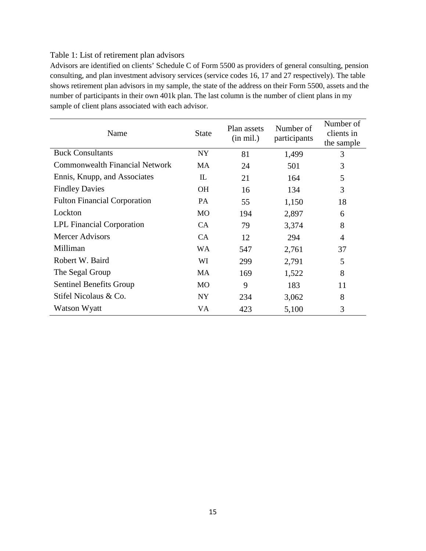# Table 1: List of retirement plan advisors

Advisors are identified on clients' Schedule C of Form 5500 as providers of general consulting, pension consulting, and plan investment advisory services (service codes 16, 17 and 27 respectively). The table shows retirement plan advisors in my sample, the state of the address on their Form 5500, assets and the number of participants in their own 401k plan. The last column is the number of client plans in my sample of client plans associated with each advisor.

| Name                                  | <b>State</b> | Plan assets<br>$(in \text{ mil.})$ | Number of<br>participants | Number of<br>clients in<br>the sample |  |
|---------------------------------------|--------------|------------------------------------|---------------------------|---------------------------------------|--|
| <b>Buck Consultants</b>               | <b>NY</b>    | 81                                 | 1,499                     | 3                                     |  |
| <b>Commonwealth Financial Network</b> | MA           | 24                                 | 501                       | 3                                     |  |
| Ennis, Knupp, and Associates          | $_{\rm IL}$  | 21                                 | 164                       | 5                                     |  |
| <b>Findley Davies</b>                 | OН           | 16                                 | 134                       | 3                                     |  |
| <b>Fulton Financial Corporation</b>   | PA           | 55                                 | 1,150                     | 18                                    |  |
| Lockton                               | <b>MO</b>    | 194                                | 2,897                     | 6                                     |  |
| <b>LPL Financial Corporation</b>      | <b>CA</b>    | 79                                 | 3,374                     | 8                                     |  |
| <b>Mercer Advisors</b>                | <b>CA</b>    | 12                                 | 294                       | $\overline{4}$                        |  |
| Milliman                              | WA           | 547                                | 2,761                     | 37                                    |  |
| Robert W. Baird                       | WI           | 299                                | 2,791                     | 5                                     |  |
| The Segal Group                       | MA           | 169                                | 1,522                     | 8                                     |  |
| <b>Sentinel Benefits Group</b>        | MO           | 9                                  | 183                       | 11                                    |  |
| Stifel Nicolaus & Co.                 | NY           | 234                                | 3,062                     | 8                                     |  |
| Watson Wyatt                          | VA           | 423                                | 5,100                     | 3                                     |  |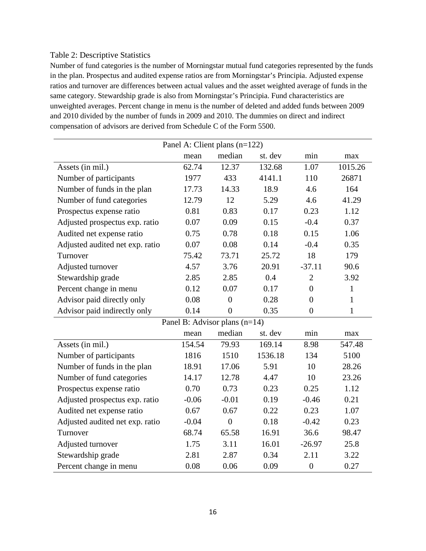### Table 2: Descriptive Statistics

Number of fund categories is the number of Morningstar mutual fund categories represented by the funds in the plan. Prospectus and audited expense ratios are from Morningstar's Principia. Adjusted expense ratios and turnover are differences between actual values and the asset weighted average of funds in the same category. Stewardship grade is also from Morningstar's Principia. Fund characteristics are unweighted averages. Percent change in menu is the number of deleted and added funds between 2009 and 2010 divided by the number of funds in 2009 and 2010. The dummies on direct and indirect compensation of advisors are derived from Schedule C of the Form 5500.

| Panel A: Client plans (n=122)   |         |                               |         |                  |              |  |
|---------------------------------|---------|-------------------------------|---------|------------------|--------------|--|
|                                 | mean    | median                        | st. dev | min              | max          |  |
| Assets (in mil.)                | 62.74   | 12.37                         | 132.68  | 1.07             | 1015.26      |  |
| Number of participants          | 1977    | 433                           | 4141.1  | 110              | 26871        |  |
| Number of funds in the plan     | 17.73   | 14.33                         | 18.9    | 4.6              | 164          |  |
| Number of fund categories       | 12.79   | 12                            | 5.29    | 4.6              | 41.29        |  |
| Prospectus expense ratio        | 0.81    | 0.83                          | 0.17    | 0.23             | 1.12         |  |
| Adjusted prospectus exp. ratio  | 0.07    | 0.09                          | 0.15    | $-0.4$           | 0.37         |  |
| Audited net expense ratio       | 0.75    | 0.78                          | 0.18    | 0.15             | 1.06         |  |
| Adjusted audited net exp. ratio | 0.07    | 0.08                          | 0.14    | $-0.4$           | 0.35         |  |
| Turnover                        | 75.42   | 73.71                         | 25.72   | 18               | 179          |  |
| Adjusted turnover               | 4.57    | 3.76                          | 20.91   | $-37.11$         | 90.6         |  |
| Stewardship grade               | 2.85    | 2.85                          | 0.4     | $\overline{2}$   | 3.92         |  |
| Percent change in menu          | 0.12    | 0.07                          | 0.17    | $\overline{0}$   | $\mathbf{1}$ |  |
| Advisor paid directly only      | 0.08    | $\overline{0}$                | 0.28    | $\overline{0}$   | $\mathbf{1}$ |  |
| Advisor paid indirectly only    | 0.14    | $\overline{0}$                | 0.35    | $\overline{0}$   | 1            |  |
|                                 |         | Panel B: Advisor plans (n=14) |         |                  |              |  |
|                                 | mean    | median                        | st. dev | min              | max          |  |
| Assets (in mil.)                | 154.54  | 79.93                         | 169.14  | 8.98             | 547.48       |  |
| Number of participants          | 1816    | 1510                          | 1536.18 | 134              | 5100         |  |
| Number of funds in the plan     | 18.91   | 17.06                         | 5.91    | 10               | 28.26        |  |
| Number of fund categories       | 14.17   | 12.78                         | 4.47    | 10               | 23.26        |  |
| Prospectus expense ratio        | 0.70    | 0.73                          | 0.23    | 0.25             | 1.12         |  |
| Adjusted prospectus exp. ratio  | $-0.06$ | $-0.01$                       | 0.19    | $-0.46$          | 0.21         |  |
| Audited net expense ratio       | 0.67    | 0.67                          | 0.22    | 0.23             | 1.07         |  |
| Adjusted audited net exp. ratio | $-0.04$ | $\overline{0}$                | 0.18    | $-0.42$          | 0.23         |  |
| Turnover                        | 68.74   | 65.58                         | 16.91   | 36.6             | 98.47        |  |
| Adjusted turnover               | 1.75    | 3.11                          | 16.01   | $-26.97$         | 25.8         |  |
| Stewardship grade               | 2.81    | 2.87                          | 0.34    | 2.11             | 3.22         |  |
| Percent change in menu          | 0.08    | 0.06                          | 0.09    | $\boldsymbol{0}$ | 0.27         |  |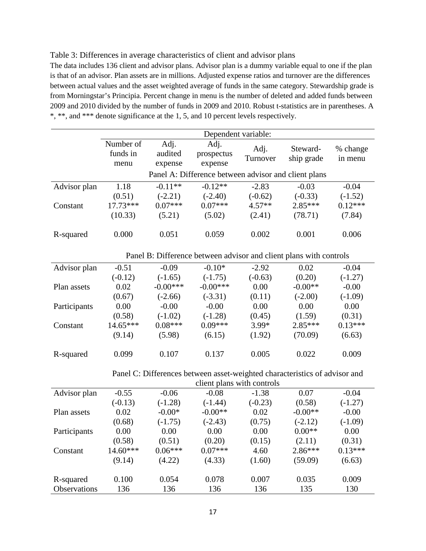### Table 3: Differences in average characteristics of client and advisor plans

The data includes 136 client and advisor plans. Advisor plan is a dummy variable equal to one if the plan is that of an advisor. Plan assets are in millions. Adjusted expense ratios and turnover are the differences between actual values and the asset weighted average of funds in the same category. Stewardship grade is from Morningstar's Principia. Percent change in menu is the number of deleted and added funds between 2009 and 2010 divided by the number of funds in 2009 and 2010. Robust t-statistics are in parentheses. A \*, \*\*, and \*\*\* denote significance at the 1, 5, and 10 percent levels respectively.

|              | Dependent variable: |            |                                                                            |                  |            |                     |
|--------------|---------------------|------------|----------------------------------------------------------------------------|------------------|------------|---------------------|
|              | Number of           | Adj.       | Adj.                                                                       |                  | Steward-   |                     |
|              | funds in            | audited    | prospectus                                                                 | Adj.<br>Turnover | ship grade | % change<br>in menu |
|              | menu                | expense    | expense                                                                    |                  |            |                     |
|              |                     |            | Panel A: Difference between advisor and client plans                       |                  |            |                     |
| Advisor plan | 1.18                | $-0.11**$  | $-0.12**$                                                                  | $-2.83$          | $-0.03$    | $-0.04$             |
|              | (0.51)              | $(-2.21)$  | $(-2.40)$                                                                  | $(-0.62)$        | $(-0.33)$  | $(-1.52)$           |
| Constant     | $17.73***$          | $0.07***$  | $0.07***$                                                                  | $4.57**$         | 2.85***    | $0.12***$           |
|              | (10.33)             | (5.21)     | (5.02)                                                                     | (2.41)           | (78.71)    | (7.84)              |
|              |                     |            |                                                                            |                  |            |                     |
| R-squared    | 0.000               | 0.051      | 0.059                                                                      | 0.002            | 0.001      | 0.006               |
|              |                     |            |                                                                            |                  |            |                     |
|              |                     |            | Panel B: Difference between advisor and client plans with controls         |                  |            |                     |
| Advisor plan | $-0.51$             | $-0.09$    | $-0.10*$                                                                   | $-2.92$          | 0.02       | $-0.04$             |
|              | $(-0.12)$           | $(-1.65)$  | $(-1.75)$                                                                  | $(-0.63)$        | (0.20)     | $(-1.27)$           |
| Plan assets  | 0.02                | $-0.00***$ | $-0.00***$                                                                 | 0.00             | $-0.00**$  | $-0.00$             |
|              | (0.67)              | $(-2.66)$  | $(-3.31)$                                                                  | (0.11)           | $(-2.00)$  | $(-1.09)$           |
| Participants | 0.00                | $-0.00$    | $-0.00$                                                                    | 0.00             | 0.00       | 0.00                |
|              | (0.58)              | $(-1.02)$  | $(-1.28)$                                                                  | (0.45)           | (1.59)     | (0.31)              |
| Constant     | $14.65***$          | $0.08***$  | $0.09***$                                                                  | $3.99*$          | $2.85***$  | $0.13***$           |
|              | (9.14)              | (5.98)     | (6.15)                                                                     | (1.92)           | (70.09)    | (6.63)              |
|              |                     |            |                                                                            |                  |            |                     |
| R-squared    | 0.099               | 0.107      | 0.137                                                                      | 0.005            | 0.022      | 0.009               |
|              |                     |            |                                                                            |                  |            |                     |
|              |                     |            | Panel C: Differences between asset-weighted characteristics of advisor and |                  |            |                     |
|              |                     |            | client plans with controls                                                 |                  |            |                     |
| Advisor plan | $-0.55$             | $-0.06$    | $-0.08$                                                                    | $-1.38$          | 0.07       | $-0.04$             |
|              | $(-0.13)$           | $(-1.28)$  | $(-1.44)$                                                                  | $(-0.23)$        | (0.58)     | $(-1.27)$           |
| Plan assets  | 0.02                | $-0.00*$   | $-0.00**$                                                                  | 0.02             | $-0.00**$  | $-0.00$             |
|              | (0.68)              | $(-1.75)$  | $(-2.43)$                                                                  | (0.75)           | $(-2.12)$  | $(-1.09)$           |
| Participants | 0.00                | 0.00       | 0.00                                                                       | 0.00             | $0.00**$   | 0.00                |
|              | (0.58)              | (0.51)     | (0.20)                                                                     | (0.15)           | (2.11)     | (0.31)              |
| Constant     | 14.60***            | $0.06***$  | $0.07***$                                                                  | 4.60             | 2.86***    | $0.13***$           |
|              | (9.14)              | (4.22)     | (4.33)                                                                     | (1.60)           | (59.09)    | (6.63)              |
|              |                     |            |                                                                            |                  |            |                     |
| R-squared    | 0.100               | 0.054      | 0.078                                                                      | 0.007            | 0.035      | 0.009               |
| Observations | 136                 | 136        | 136                                                                        | 136              | 135        | 130                 |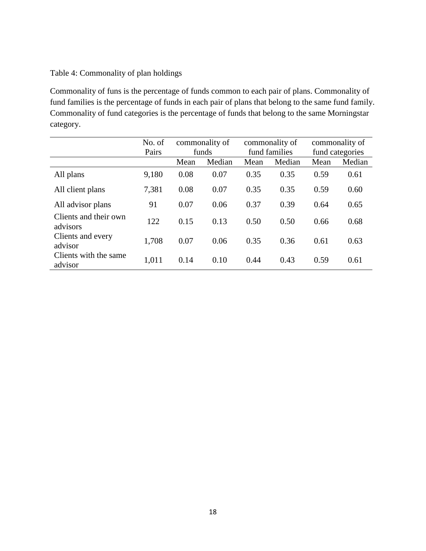# Table 4: Commonality of plan holdings

Commonality of funs is the percentage of funds common to each pair of plans. Commonality of fund families is the percentage of funds in each pair of plans that belong to the same fund family. Commonality of fund categories is the percentage of funds that belong to the same Morningstar category.

|                                   | No. of<br>Pairs | commonality of<br>funds |        | commonality of<br>fund families |        | commonality of<br>fund categories |        |
|-----------------------------------|-----------------|-------------------------|--------|---------------------------------|--------|-----------------------------------|--------|
|                                   |                 | Mean                    | Median | Mean                            | Median | Mean                              | Median |
| All plans                         | 9,180           | 0.08                    | 0.07   | 0.35                            | 0.35   | 0.59                              | 0.61   |
| All client plans                  | 7,381           | 0.08                    | 0.07   | 0.35                            | 0.35   | 0.59                              | 0.60   |
| All advisor plans                 | 91              | 0.07                    | 0.06   | 0.37                            | 0.39   | 0.64                              | 0.65   |
| Clients and their own<br>advisors | 122             | 0.15                    | 0.13   | 0.50                            | 0.50   | 0.66                              | 0.68   |
| Clients and every<br>advisor      | 1,708           | 0.07                    | 0.06   | 0.35                            | 0.36   | 0.61                              | 0.63   |
| Clients with the same<br>advisor  | 1,011           | 0.14                    | 0.10   | 0.44                            | 0.43   | 0.59                              | 0.61   |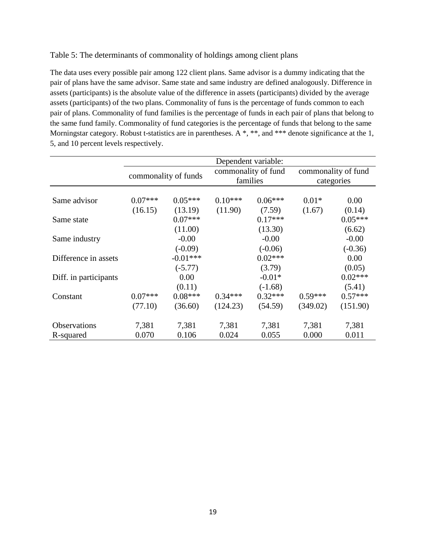# Table 5: The determinants of commonality of holdings among client plans

The data uses every possible pair among 122 client plans. Same advisor is a dummy indicating that the pair of plans have the same advisor. Same state and same industry are defined analogously. Difference in assets (participants) is the absolute value of the difference in assets (participants) divided by the average assets (participants) of the two plans. Commonality of funs is the percentage of funds common to each pair of plans. Commonality of fund families is the percentage of funds in each pair of plans that belong to the same fund family. Commonality of fund categories is the percentage of funds that belong to the same Morningstar category. Robust t-statistics are in parentheses. A \*, \*\*, and \*\*\* denote significance at the 1, 5, and 10 percent levels respectively.

|                       | Dependent variable: |                         |                                 |                        |                                   |                     |
|-----------------------|---------------------|-------------------------|---------------------------------|------------------------|-----------------------------------|---------------------|
|                       |                     | commonality of funds    | commonality of fund<br>families |                        | commonality of fund<br>categories |                     |
| Same advisor          | $0.07***$           | $0.05***$               | $0.10***$                       | $0.06***$              | $0.01*$                           | 0.00                |
| Same state            | (16.15)             | (13.19)<br>$0.07***$    | (11.90)                         | (7.59)<br>$0.17***$    | (1.67)                            | (0.14)<br>$0.05***$ |
| Same industry         |                     | (11.00)<br>$-0.00$      |                                 | (13.30)<br>$-0.00$     |                                   | (6.62)<br>$-0.00$   |
| Difference in assets  |                     | $(-0.09)$<br>$-0.01***$ |                                 | $(-0.06)$<br>$0.02***$ |                                   | $(-0.36)$<br>0.00   |
|                       |                     | $(-5.77)$               |                                 | (3.79)                 |                                   | (0.05)              |
| Diff. in participants |                     | 0.00<br>(0.11)          |                                 | $-0.01*$<br>$(-1.68)$  |                                   | $0.02***$<br>(5.41) |
| Constant              | $0.07***$           | $0.08***$               | $0.34***$                       | $0.32***$              | $0.59***$                         | $0.57***$           |
|                       | (77.10)             | (36.60)                 | (124.23)                        | (54.59)                | (349.02)                          | (151.90)            |
| <b>Observations</b>   | 7,381               | 7,381                   | 7,381                           | 7,381                  | 7,381                             | 7,381               |
| R-squared             | 0.070               | 0.106                   | 0.024                           | 0.055                  | 0.000                             | 0.011               |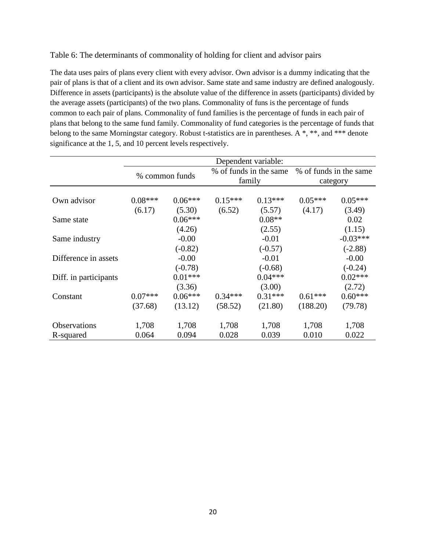Table 6: The determinants of commonality of holding for client and advisor pairs

The data uses pairs of plans every client with every advisor. Own advisor is a dummy indicating that the pair of plans is that of a client and its own advisor. Same state and same industry are defined analogously. Difference in assets (participants) is the absolute value of the difference in assets (participants) divided by the average assets (participants) of the two plans. Commonality of funs is the percentage of funds common to each pair of plans. Commonality of fund families is the percentage of funds in each pair of plans that belong to the same fund family. Commonality of fund categories is the percentage of funds that belong to the same Morningstar category. Robust t-statistics are in parentheses. A \*, \*\*, and \*\*\* denote significance at the 1, 5, and 10 percent levels respectively.

|                       | Dependent variable:  |                        |                                  |                        |                                    |                        |
|-----------------------|----------------------|------------------------|----------------------------------|------------------------|------------------------------------|------------------------|
|                       |                      | % common funds         | % of funds in the same<br>family |                        | % of funds in the same<br>category |                        |
| Own advisor           | $0.08***$            | $0.06***$              | $0.15***$                        | $0.13***$              | $0.05***$                          | $0.05***$              |
| Same state            | (6.17)               | (5.30)<br>$0.06***$    | (6.52)                           | (5.57)<br>$0.08**$     | (4.17)                             | (3.49)<br>0.02         |
| Same industry         |                      | (4.26)<br>$-0.00$      |                                  | (2.55)<br>$-0.01$      |                                    | (1.15)<br>$-0.03***$   |
| Difference in assets  |                      | $(-0.82)$<br>$-0.00$   |                                  | $(-0.57)$<br>$-0.01$   |                                    | $(-2.88)$<br>$-0.00$   |
|                       |                      | $(-0.78)$<br>$0.01***$ |                                  | $(-0.68)$<br>$0.04***$ |                                    | $(-0.24)$<br>$0.02***$ |
| Diff. in participants |                      | (3.36)                 |                                  | (3.00)                 |                                    | (2.72)                 |
| Constant              | $0.07***$<br>(37.68) | $0.06***$<br>(13.12)   | $0.34***$<br>(58.52)             | $0.31***$<br>(21.80)   | $0.61***$<br>(188.20)              | $0.60***$<br>(79.78)   |
| <b>Observations</b>   | 1,708                | 1,708                  | 1,708                            | 1,708                  | 1,708                              | 1,708                  |
| R-squared             | 0.064                | 0.094                  | 0.028                            | 0.039                  | 0.010                              | 0.022                  |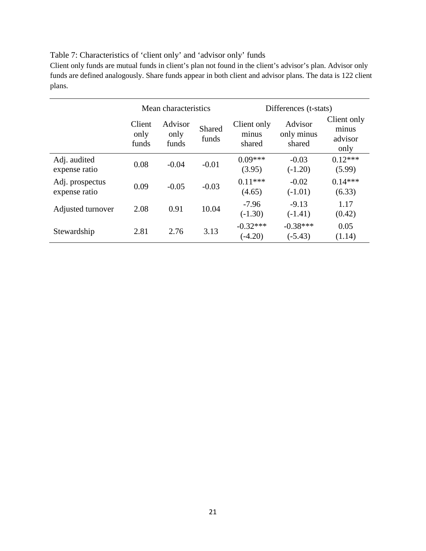# Table 7: Characteristics of 'client only' and 'advisor only' funds

Client only funds are mutual funds in client's plan not found in the client's advisor's plan. Advisor only funds are defined analogously. Share funds appear in both client and advisor plans. The data is 122 client plans.

|                                  | Mean characteristics    |                          |                 | Differences (t-stats)          |                                 |                                         |  |
|----------------------------------|-------------------------|--------------------------|-----------------|--------------------------------|---------------------------------|-----------------------------------------|--|
|                                  | Client<br>only<br>funds | Advisor<br>only<br>funds | Shared<br>funds | Client only<br>minus<br>shared | Advisor<br>only minus<br>shared | Client only<br>minus<br>advisor<br>only |  |
| Adj. audited<br>expense ratio    | 0.08                    | $-0.04$                  | $-0.01$         | $0.09***$<br>(3.95)            | $-0.03$<br>$(-1.20)$            | $0.12***$<br>(5.99)                     |  |
| Adj. prospectus<br>expense ratio | 0.09                    | $-0.05$                  | $-0.03$         | $0.11***$<br>(4.65)            | $-0.02$<br>$(-1.01)$            | $0.14***$<br>(6.33)                     |  |
| Adjusted turnover                | 2.08                    | 0.91                     | 10.04           | $-7.96$<br>$(-1.30)$           | $-9.13$<br>$(-1.41)$            | 1.17<br>(0.42)                          |  |
| Stewardship                      | 2.81                    | 2.76                     | 3.13            | $-0.32***$<br>$(-4.20)$        | $-0.38***$<br>$(-5.43)$         | 0.05<br>(1.14)                          |  |